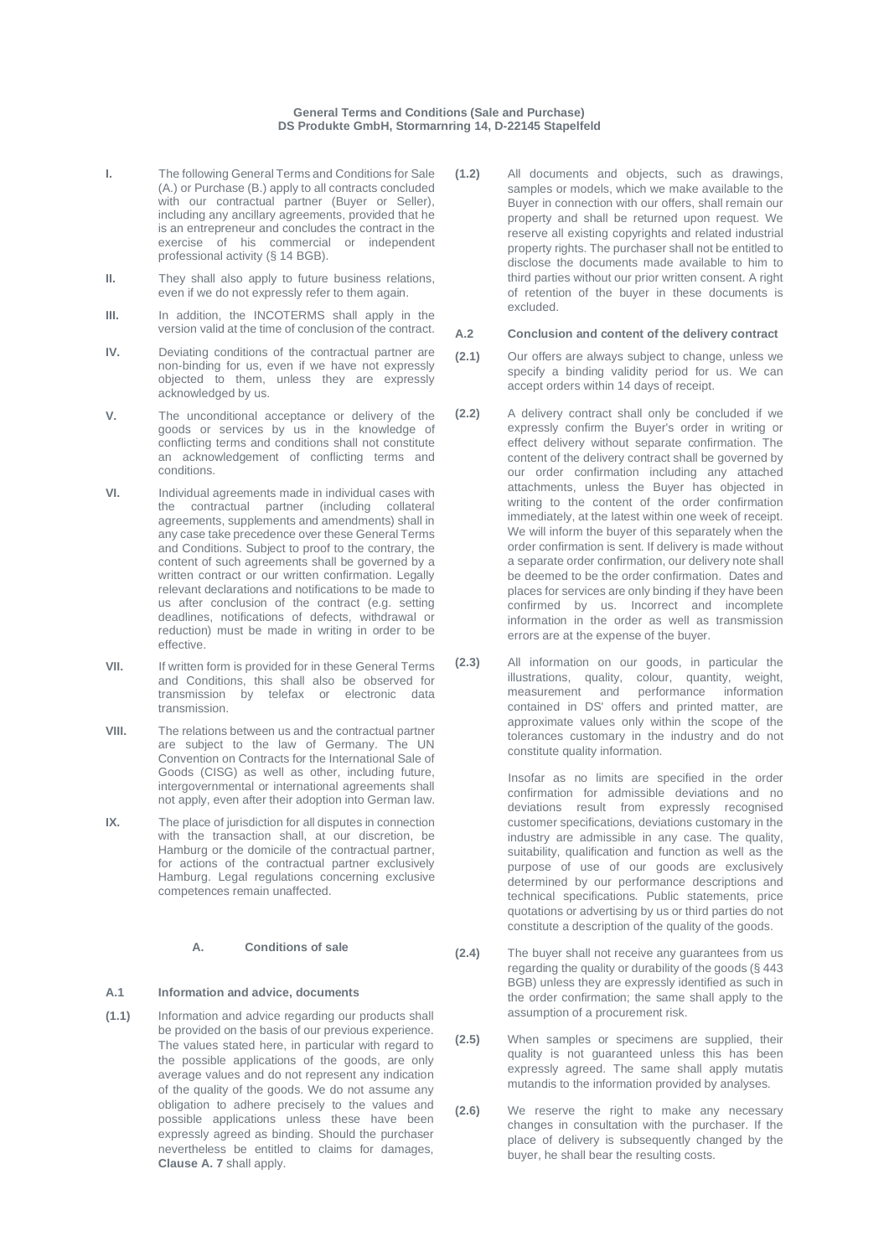#### **General Terms and Conditions (Sale and Purchase) DS Produkte GmbH, Stormarnring 14, D-22145 Stapelfeld**

- **I.** The following General Terms and Conditions for Sale (A.) or Purchase (B.) apply to all contracts concluded with our contractual partner (Buyer or Seller), including any ancillary agreements, provided that he is an entrepreneur and concludes the contract in the exercise of his commercial or independent professional activity (§ 14 BGB).
- **II.** They shall also apply to future business relations. even if we do not expressly refer to them again.
- **III.** In addition, the INCOTERMS shall apply in the version valid at the time of conclusion of the contract.
- **IV.** Deviating conditions of the contractual partner are non-binding for us, even if we have not expressly objected to them, unless they are expressly acknowledged by us.
- **V.** The unconditional acceptance or delivery of the goods or services by us in the knowledge of conflicting terms and conditions shall not constitute an acknowledgement of conflicting terms and conditions.
- **VI.** Individual agreements made in individual cases with the contractual partner (including collateral agreements, supplements and amendments) shall in any case take precedence over these General Terms and Conditions. Subject to proof to the contrary, the content of such agreements shall be governed by a written contract or our written confirmation. Legally relevant declarations and notifications to be made to us after conclusion of the contract (e.g. setting deadlines, notifications of defects, withdrawal or reduction) must be made in writing in order to be effective.
- **VII.** If written form is provided for in these General Terms and Conditions, this shall also be observed for transmission by telefax or electronic data transmission.
- **VIII.** The relations between us and the contractual partner are subject to the law of Germany. The UN Convention on Contracts for the International Sale of Goods (CISG) as well as other, including future, intergovernmental or international agreements shall not apply, even after their adoption into German law.
- **IX.** The place of jurisdiction for all disputes in connection with the transaction shall, at our discretion, be Hamburg or the domicile of the contractual partner, for actions of the contractual partner exclusively Hamburg. Legal regulations concerning exclusive competences remain unaffected.

#### **A. Conditions of sale**

#### **A.1 Information and advice, documents**

**(1.1)** Information and advice regarding our products shall be provided on the basis of our previous experience. The values stated here, in particular with regard to the possible applications of the goods, are only average values and do not represent any indication of the quality of the goods. We do not assume any obligation to adhere precisely to the values and possible applications unless these have been expressly agreed as binding. Should the purchaser nevertheless be entitled to claims for damages, **Clause A. 7** shall apply.

**(1.2)** All documents and objects, such as drawings, samples or models, which we make available to the Buyer in connection with our offers, shall remain our property and shall be returned upon request. We reserve all existing copyrights and related industrial property rights. The purchaser shall not be entitled to disclose the documents made available to him to third parties without our prior written consent. A right of retention of the buyer in these documents is excluded.

#### **A.2 Conclusion and content of the delivery contract**

- **(2.1)** Our offers are always subject to change, unless we specify a binding validity period for us. We can accept orders within 14 days of receipt.
- **(2.2)** A delivery contract shall only be concluded if we expressly confirm the Buyer's order in writing or effect delivery without separate confirmation. The content of the delivery contract shall be governed by our order confirmation including any attached attachments, unless the Buyer has objected in writing to the content of the order confirmation immediately, at the latest within one week of receipt. We will inform the buyer of this separately when the order confirmation is sent. If delivery is made without a separate order confirmation, our delivery note shall be deemed to be the order confirmation. Dates and places for services are only binding if they have been confirmed by us. Incorrect and incomplete information in the order as well as transmission errors are at the expense of the buyer.
- **(2.3)** All information on our goods, in particular the illustrations, quality, colour, quantity, weight, measurement and performance information contained in DS' offers and printed matter, are approximate values only within the scope of the tolerances customary in the industry and do not constitute quality information.

Insofar as no limits are specified in the order confirmation for admissible deviations and no deviations result from expressly recognised customer specifications, deviations customary in the industry are admissible in any case. The quality, suitability, qualification and function as well as the purpose of use of our goods are exclusively determined by our performance descriptions and technical specifications. Public statements, price quotations or advertising by us or third parties do not constitute a description of the quality of the goods.

- **(2.4)** The buyer shall not receive any guarantees from us regarding the quality or durability of the goods (§ 443 BGB) unless they are expressly identified as such in the order confirmation; the same shall apply to the assumption of a procurement risk.
- **(2.5)** When samples or specimens are supplied, their quality is not guaranteed unless this has been expressly agreed. The same shall apply mutatis mutandis to the information provided by analyses.
- **(2.6)** We reserve the right to make any necessary changes in consultation with the purchaser. If the place of delivery is subsequently changed by the buyer, he shall bear the resulting costs.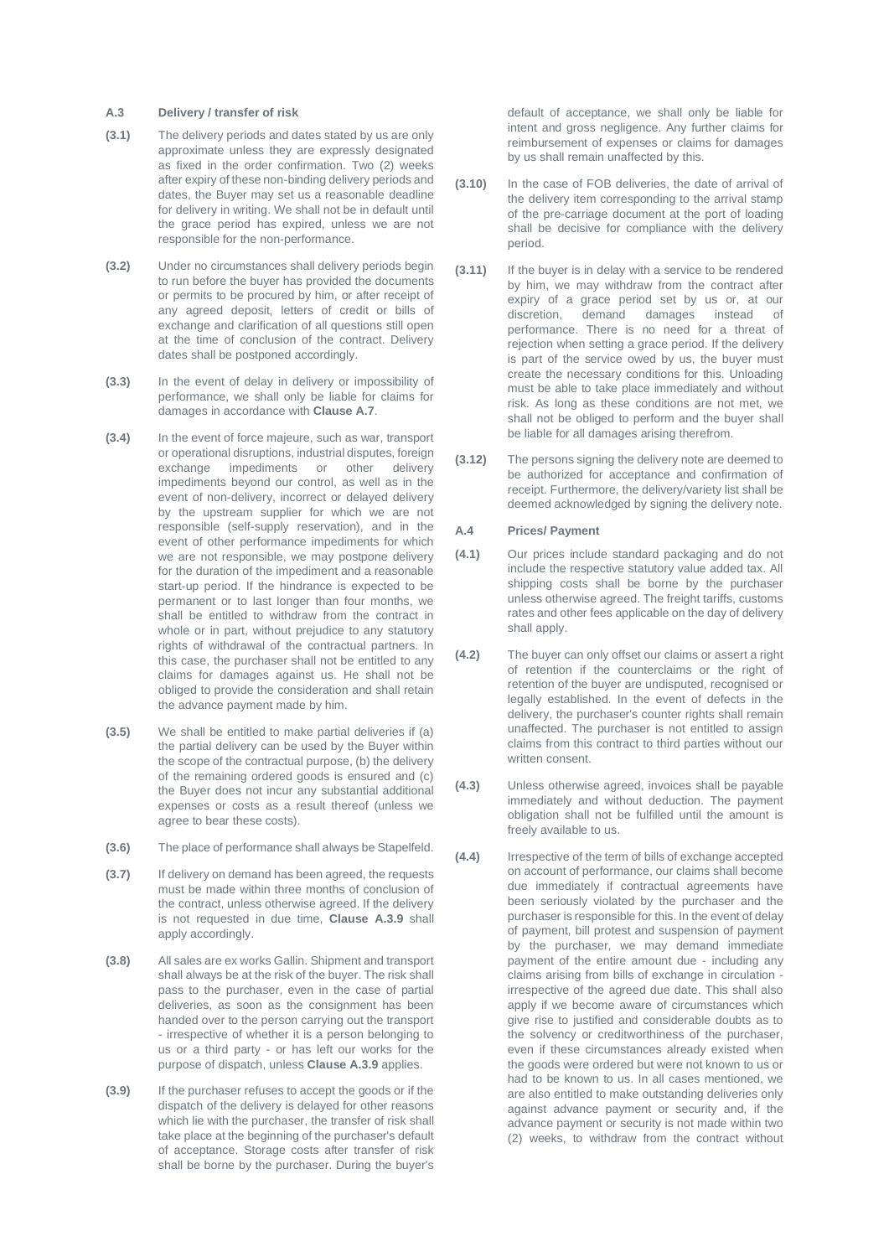#### **A.3 Delivery / transfer of risk**

- **(3.1)** The delivery periods and dates stated by us are only approximate unless they are expressly designated as fixed in the order confirmation. Two (2) weeks after expiry of these non-binding delivery periods and dates, the Buyer may set us a reasonable deadline for delivery in writing. We shall not be in default until the grace period has expired, unless we are not responsible for the non-performance.
- **(3.2)** Under no circumstances shall delivery periods begin to run before the buyer has provided the documents or permits to be procured by him, or after receipt of any agreed deposit, letters of credit or bills of exchange and clarification of all questions still open at the time of conclusion of the contract. Delivery dates shall be postponed accordingly.
- **(3.3)** In the event of delay in delivery or impossibility of performance, we shall only be liable for claims for damages in accordance with **Clause A.7**.
- **(3.4)** In the event of force majeure, such as war, transport or operational disruptions, industrial disputes, foreign exchange impediments or other delivery impediments beyond our control, as well as in the event of non-delivery, incorrect or delayed delivery by the upstream supplier for which we are not responsible (self-supply reservation), and in the event of other performance impediments for which we are not responsible, we may postpone delivery for the duration of the impediment and a reasonable start-up period. If the hindrance is expected to be permanent or to last longer than four months, we shall be entitled to withdraw from the contract in whole or in part, without prejudice to any statutory rights of withdrawal of the contractual partners. In this case, the purchaser shall not be entitled to any claims for damages against us. He shall not be obliged to provide the consideration and shall retain the advance payment made by him.
- **(3.5)** We shall be entitled to make partial deliveries if (a) the partial delivery can be used by the Buyer within the scope of the contractual purpose, (b) the delivery of the remaining ordered goods is ensured and (c) the Buyer does not incur any substantial additional expenses or costs as a result thereof (unless we agree to bear these costs).
- **(3.6)** The place of performance shall always be Stapelfeld.
- **(3.7)** If delivery on demand has been agreed, the requests must be made within three months of conclusion of the contract, unless otherwise agreed. If the delivery is not requested in due time, **Clause A.3.9** shall apply accordingly.
- **(3.8)** All sales are ex works Gallin. Shipment and transport shall always be at the risk of the buyer. The risk shall pass to the purchaser, even in the case of partial deliveries, as soon as the consignment has been handed over to the person carrying out the transport - irrespective of whether it is a person belonging to us or a third party - or has left our works for the purpose of dispatch, unless **Clause A.3.9** applies.
- **(3.9)** If the purchaser refuses to accept the goods or if the dispatch of the delivery is delayed for other reasons which lie with the purchaser, the transfer of risk shall take place at the beginning of the purchaser's default of acceptance. Storage costs after transfer of risk shall be borne by the purchaser. During the buyer's

default of acceptance, we shall only be liable for intent and gross negligence. Any further claims for reimbursement of expenses or claims for damages by us shall remain unaffected by this.

- **(3.10)** In the case of FOB deliveries, the date of arrival of the delivery item corresponding to the arrival stamp of the pre-carriage document at the port of loading shall be decisive for compliance with the delivery period.
- **(3.11)** If the buyer is in delay with a service to be rendered by him, we may withdraw from the contract after expiry of a grace period set by us or, at our discretion, demand damages instead of performance. There is no need for a threat of rejection when setting a grace period. If the delivery is part of the service owed by us, the buyer must create the necessary conditions for this. Unloading must be able to take place immediately and without risk. As long as these conditions are not met, we shall not be obliged to perform and the buyer shall be liable for all damages arising therefrom.
- **(3.12)** The persons signing the delivery note are deemed to be authorized for acceptance and confirmation of receipt. Furthermore, the delivery/variety list shall be deemed acknowledged by signing the delivery note.

# **A.4 Prices/ Payment**

- **(4.1)** Our prices include standard packaging and do not include the respective statutory value added tax. All shipping costs shall be borne by the purchaser unless otherwise agreed. The freight tariffs, customs rates and other fees applicable on the day of delivery shall apply.
- **(4.2)** The buyer can only offset our claims or assert a right of retention if the counterclaims or the right of retention of the buyer are undisputed, recognised or legally established. In the event of defects in the delivery, the purchaser's counter rights shall remain unaffected. The purchaser is not entitled to assign claims from this contract to third parties without our written consent.
- **(4.3)** Unless otherwise agreed, invoices shall be payable immediately and without deduction. The payment obligation shall not be fulfilled until the amount is freely available to us.
- **(4.4)** Irrespective of the term of bills of exchange accepted on account of performance, our claims shall become due immediately if contractual agreements have been seriously violated by the purchaser and the purchaser is responsible for this. In the event of delay of payment, bill protest and suspension of payment by the purchaser, we may demand immediate payment of the entire amount due - including any claims arising from bills of exchange in circulation irrespective of the agreed due date. This shall also apply if we become aware of circumstances which give rise to justified and considerable doubts as to the solvency or creditworthiness of the purchaser, even if these circumstances already existed when the goods were ordered but were not known to us or had to be known to us. In all cases mentioned, we are also entitled to make outstanding deliveries only against advance payment or security and, if the advance payment or security is not made within two (2) weeks, to withdraw from the contract without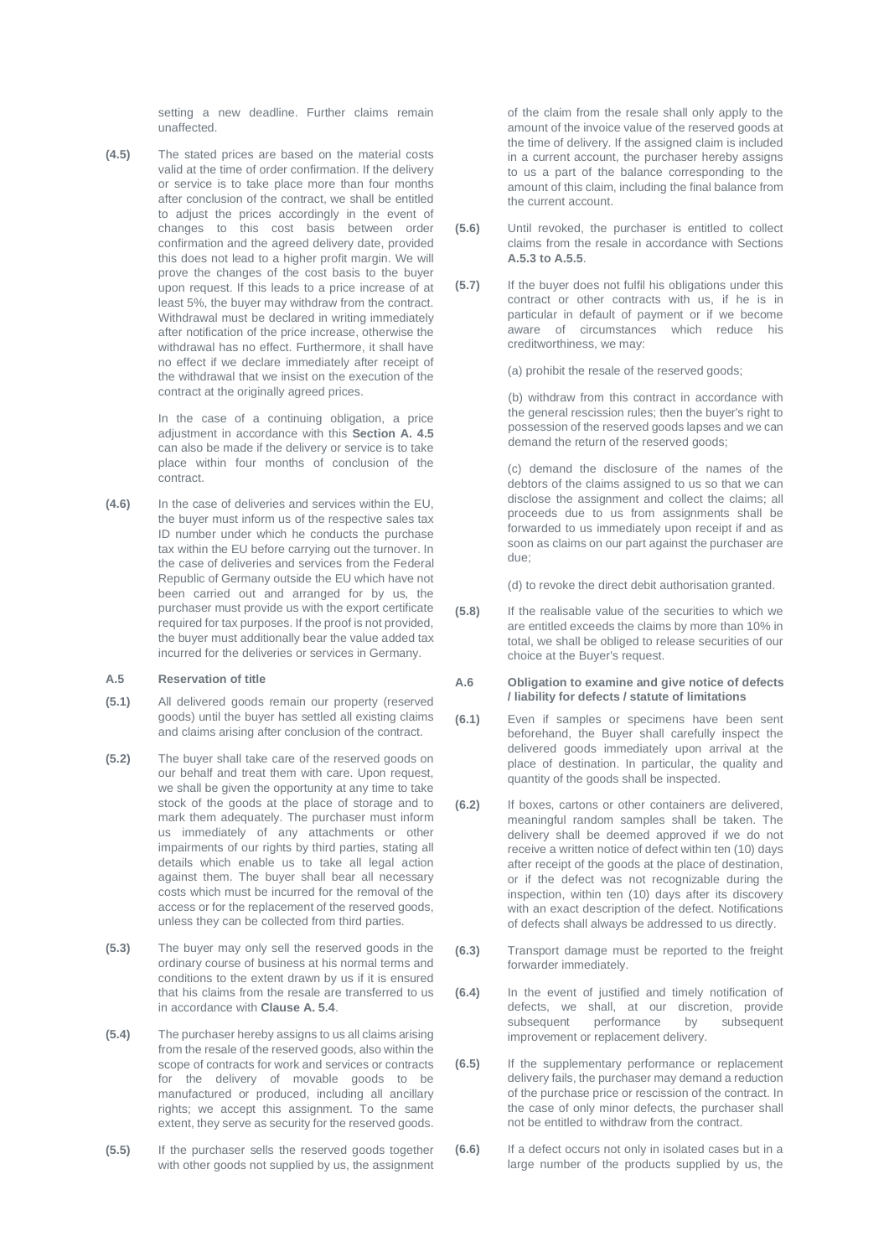setting a new deadline. Further claims remain unaffected.

**(4.5)** The stated prices are based on the material costs valid at the time of order confirmation. If the delivery or service is to take place more than four months after conclusion of the contract, we shall be entitled to adjust the prices accordingly in the event of changes to this cost basis between order confirmation and the agreed delivery date, provided this does not lead to a higher profit margin. We will prove the changes of the cost basis to the buyer upon request. If this leads to a price increase of at least 5%, the buyer may withdraw from the contract. Withdrawal must be declared in writing immediately after notification of the price increase, otherwise the withdrawal has no effect. Furthermore, it shall have no effect if we declare immediately after receipt of the withdrawal that we insist on the execution of the contract at the originally agreed prices.

> In the case of a continuing obligation, a price adjustment in accordance with this **Section A. 4.5** can also be made if the delivery or service is to take place within four months of conclusion of the contract.

**(4.6)** In the case of deliveries and services within the EU, the buyer must inform us of the respective sales tax ID number under which he conducts the purchase tax within the EU before carrying out the turnover. In the case of deliveries and services from the Federal Republic of Germany outside the EU which have not been carried out and arranged for by us, the purchaser must provide us with the export certificate required for tax purposes. If the proof is not provided, the buyer must additionally bear the value added tax incurred for the deliveries or services in Germany.

# **A.5 Reservation of title**

- **(5.1)** All delivered goods remain our property (reserved goods) until the buyer has settled all existing claims and claims arising after conclusion of the contract.
- **(5.2)** The buyer shall take care of the reserved goods on our behalf and treat them with care. Upon request, we shall be given the opportunity at any time to take stock of the goods at the place of storage and to mark them adequately. The purchaser must inform us immediately of any attachments or other impairments of our rights by third parties, stating all details which enable us to take all legal action against them. The buyer shall bear all necessary costs which must be incurred for the removal of the access or for the replacement of the reserved goods, unless they can be collected from third parties.
- **(5.3)** The buyer may only sell the reserved goods in the ordinary course of business at his normal terms and conditions to the extent drawn by us if it is ensured that his claims from the resale are transferred to us in accordance with **Clause A. 5.4**.
- **(5.4)** The purchaser hereby assigns to us all claims arising from the resale of the reserved goods, also within the scope of contracts for work and services or contracts for the delivery of movable goods to be manufactured or produced, including all ancillary rights; we accept this assignment. To the same extent, they serve as security for the reserved goods.
- **(5.5)** If the purchaser sells the reserved goods together with other goods not supplied by us, the assignment

of the claim from the resale shall only apply to the amount of the invoice value of the reserved goods at the time of delivery. If the assigned claim is included in a current account, the purchaser hereby assigns to us a part of the balance corresponding to the amount of this claim, including the final balance from the current account.

- **(5.6)** Until revoked, the purchaser is entitled to collect claims from the resale in accordance with Sections **A.5.3 to A.5.5**.
- **(5.7)** If the buyer does not fulfil his obligations under this contract or other contracts with us, if he is in particular in default of payment or if we become aware of circumstances which reduce his creditworthiness, we may:

(a) prohibit the resale of the reserved goods;

(b) withdraw from this contract in accordance with the general rescission rules; then the buyer's right to possession of the reserved goods lapses and we can demand the return of the reserved goods;

(c) demand the disclosure of the names of the debtors of the claims assigned to us so that we can disclose the assignment and collect the claims; all proceeds due to us from assignments shall be forwarded to us immediately upon receipt if and as soon as claims on our part against the purchaser are due;

(d) to revoke the direct debit authorisation granted.

**(5.8)** If the realisable value of the securities to which we are entitled exceeds the claims by more than 10% in total, we shall be obliged to release securities of our choice at the Buyer's request.

#### **A.6 Obligation to examine and give notice of defects / liability for defects / statute of limitations**

- **(6.1)** Even if samples or specimens have been sent beforehand, the Buyer shall carefully inspect the delivered goods immediately upon arrival at the place of destination. In particular, the quality and quantity of the goods shall be inspected.
- **(6.2)** If boxes, cartons or other containers are delivered, meaningful random samples shall be taken. The delivery shall be deemed approved if we do not receive a written notice of defect within ten (10) days after receipt of the goods at the place of destination, or if the defect was not recognizable during the inspection, within ten (10) days after its discovery with an exact description of the defect. Notifications of defects shall always be addressed to us directly.
- **(6.3)** Transport damage must be reported to the freight forwarder immediately.
- **(6.4)** In the event of justified and timely notification of defects, we shall, at our discretion, provide subsequent performance by subsequent improvement or replacement delivery.
- **(6.5)** If the supplementary performance or replacement delivery fails, the purchaser may demand a reduction of the purchase price or rescission of the contract. In the case of only minor defects, the purchaser shall not be entitled to withdraw from the contract.
- **(6.6)** If a defect occurs not only in isolated cases but in a large number of the products supplied by us, the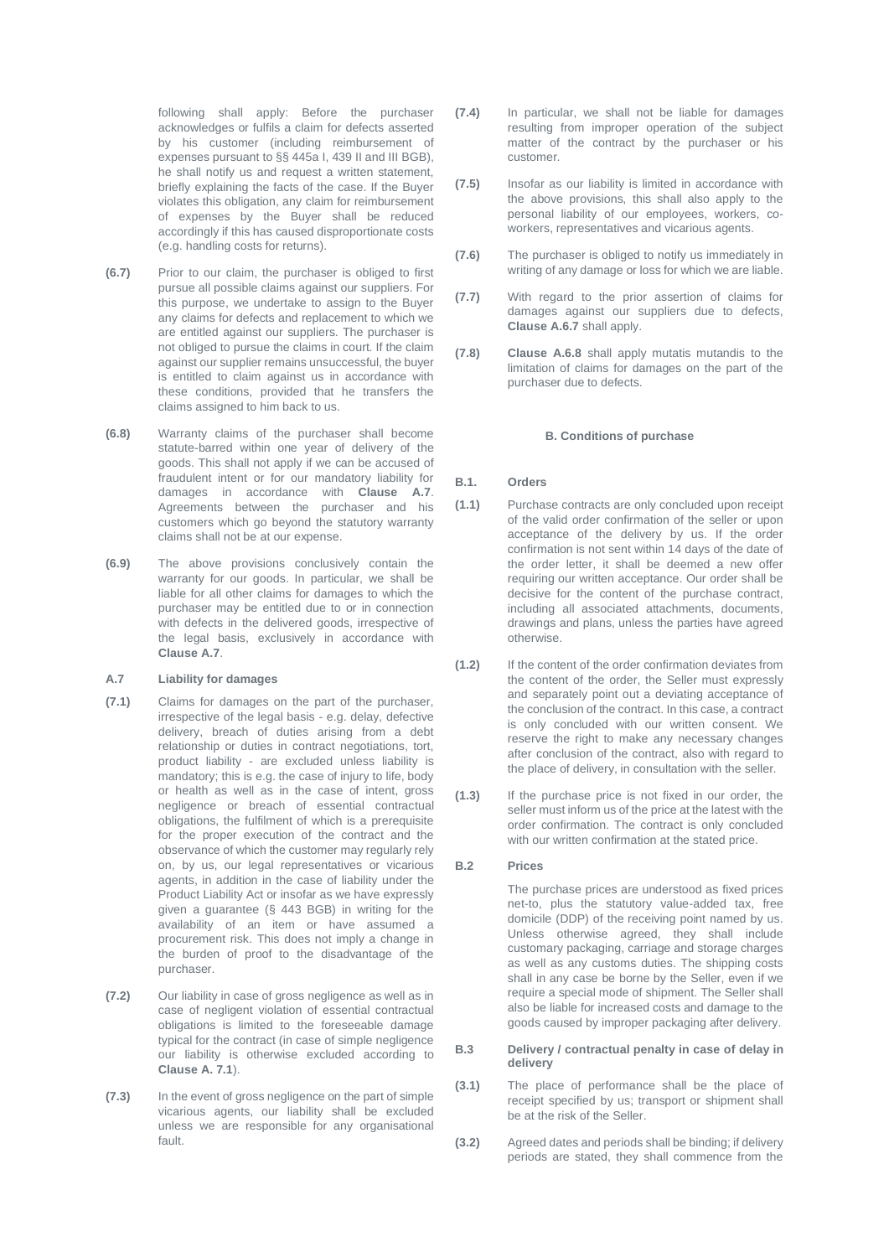following shall apply: Before the purchaser acknowledges or fulfils a claim for defects asserted by his customer (including reimbursement of expenses pursuant to §§ 445a I, 439 II and III BGB), he shall notify us and request a written statement, briefly explaining the facts of the case. If the Buyer violates this obligation, any claim for reimbursement of expenses by the Buyer shall be reduced accordingly if this has caused disproportionate costs (e.g. handling costs for returns).

- **(6.7)** Prior to our claim, the purchaser is obliged to first pursue all possible claims against our suppliers. For this purpose, we undertake to assign to the Buyer any claims for defects and replacement to which we are entitled against our suppliers. The purchaser is not obliged to pursue the claims in court. If the claim against our supplier remains unsuccessful, the buyer is entitled to claim against us in accordance with these conditions, provided that he transfers the claims assigned to him back to us.
- **(6.8)** Warranty claims of the purchaser shall become statute-barred within one year of delivery of the goods. This shall not apply if we can be accused of fraudulent intent or for our mandatory liability for damages in accordance with **Clause A.7**. Agreements between the purchaser and his customers which go beyond the statutory warranty claims shall not be at our expense.
- **(6.9)** The above provisions conclusively contain the warranty for our goods. In particular, we shall be liable for all other claims for damages to which the purchaser may be entitled due to or in connection with defects in the delivered goods, irrespective of the legal basis, exclusively in accordance with **Clause A.7**.

# **A.7 Liability for damages**

- **(7.1)** Claims for damages on the part of the purchaser, irrespective of the legal basis - e.g. delay, defective delivery, breach of duties arising from a debt relationship or duties in contract negotiations, tort, product liability - are excluded unless liability is mandatory; this is e.g. the case of injury to life, body or health as well as in the case of intent, gross negligence or breach of essential contractual obligations, the fulfilment of which is a prerequisite for the proper execution of the contract and the observance of which the customer may regularly rely on, by us, our legal representatives or vicarious agents, in addition in the case of liability under the Product Liability Act or insofar as we have expressly given a guarantee (§ 443 BGB) in writing for the availability of an item or have assumed a procurement risk. This does not imply a change in the burden of proof to the disadvantage of the purchaser.
- **(7.2)** Our liability in case of gross negligence as well as in case of negligent violation of essential contractual obligations is limited to the foreseeable damage typical for the contract (in case of simple negligence our liability is otherwise excluded according to **Clause A. 7.1**).
- **(7.3)** In the event of gross negligence on the part of simple vicarious agents, our liability shall be excluded unless we are responsible for any organisational fault.
- **(7.4)** In particular, we shall not be liable for damages resulting from improper operation of the subject matter of the contract by the purchaser or his customer.
- **(7.5)** Insofar as our liability is limited in accordance with the above provisions, this shall also apply to the personal liability of our employees, workers, coworkers, representatives and vicarious agents.
- **(7.6)** The purchaser is obliged to notify us immediately in writing of any damage or loss for which we are liable.
- **(7.7)** With regard to the prior assertion of claims for damages against our suppliers due to defects, **Clause A.6.7** shall apply.
- **(7.8) Clause A.6.8** shall apply mutatis mutandis to the limitation of claims for damages on the part of the purchaser due to defects.

### **B. Conditions of purchase**

### **B.1. Orders**

- **(1.1)** Purchase contracts are only concluded upon receipt of the valid order confirmation of the seller or upon acceptance of the delivery by us. If the order confirmation is not sent within 14 days of the date of the order letter, it shall be deemed a new offer requiring our written acceptance. Our order shall be decisive for the content of the purchase contract, including all associated attachments, documents, drawings and plans, unless the parties have agreed otherwise.
- **(1.2)** If the content of the order confirmation deviates from the content of the order, the Seller must expressly and separately point out a deviating acceptance of the conclusion of the contract. In this case, a contract is only concluded with our written consent. We reserve the right to make any necessary changes after conclusion of the contract, also with regard to the place of delivery, in consultation with the seller.
- **(1.3)** If the purchase price is not fixed in our order, the seller must inform us of the price at the latest with the order confirmation. The contract is only concluded with our written confirmation at the stated price.

#### **B.2 Prices**

The purchase prices are understood as fixed prices net-to, plus the statutory value-added tax, free domicile (DDP) of the receiving point named by us. Unless otherwise agreed, they shall include customary packaging, carriage and storage charges as well as any customs duties. The shipping costs shall in any case be borne by the Seller, even if we require a special mode of shipment. The Seller shall also be liable for increased costs and damage to the goods caused by improper packaging after delivery.

### **B.3 Delivery / contractual penalty in case of delay in delivery**

- **(3.1)** The place of performance shall be the place of receipt specified by us; transport or shipment shall be at the risk of the Seller.
- **(3.2)** Agreed dates and periods shall be binding; if delivery periods are stated, they shall commence from the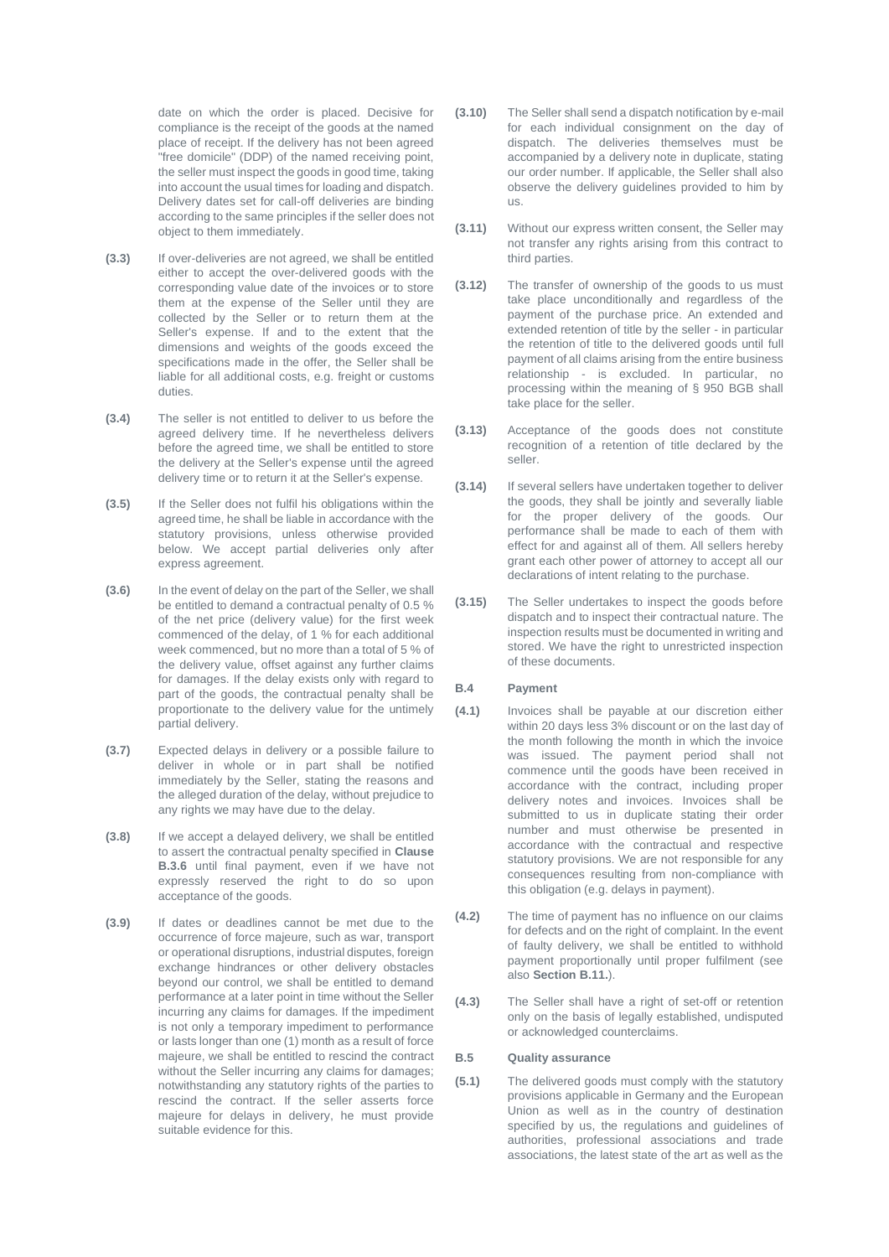date on which the order is placed. Decisive for compliance is the receipt of the goods at the named place of receipt. If the delivery has not been agreed "free domicile" (DDP) of the named receiving point, the seller must inspect the goods in good time, taking into account the usual times for loading and dispatch. Delivery dates set for call-off deliveries are binding according to the same principles if the seller does not object to them immediately.

- **(3.3)** If over-deliveries are not agreed, we shall be entitled either to accept the over-delivered goods with the corresponding value date of the invoices or to store them at the expense of the Seller until they are collected by the Seller or to return them at the Seller's expense. If and to the extent that the dimensions and weights of the goods exceed the specifications made in the offer, the Seller shall be liable for all additional costs, e.g. freight or customs duties.
- **(3.4)** The seller is not entitled to deliver to us before the agreed delivery time. If he nevertheless delivers before the agreed time, we shall be entitled to store the delivery at the Seller's expense until the agreed delivery time or to return it at the Seller's expense.
- **(3.5)** If the Seller does not fulfil his obligations within the agreed time, he shall be liable in accordance with the statutory provisions, unless otherwise provided below. We accept partial deliveries only after express agreement.
- **(3.6)** In the event of delay on the part of the Seller, we shall be entitled to demand a contractual penalty of 0.5 % of the net price (delivery value) for the first week commenced of the delay, of 1 % for each additional week commenced, but no more than a total of 5 % of the delivery value, offset against any further claims for damages. If the delay exists only with regard to part of the goods, the contractual penalty shall be proportionate to the delivery value for the untimely partial delivery.
- **(3.7)** Expected delays in delivery or a possible failure to deliver in whole or in part shall be notified immediately by the Seller, stating the reasons and the alleged duration of the delay, without prejudice to any rights we may have due to the delay.
- **(3.8)** If we accept a delayed delivery, we shall be entitled to assert the contractual penalty specified in **Clause B.3.6** until final payment, even if we have not expressly reserved the right to do so upon acceptance of the goods.
- **(3.9)** If dates or deadlines cannot be met due to the occurrence of force majeure, such as war, transport or operational disruptions, industrial disputes, foreign exchange hindrances or other delivery obstacles beyond our control, we shall be entitled to demand performance at a later point in time without the Seller incurring any claims for damages. If the impediment is not only a temporary impediment to performance or lasts longer than one (1) month as a result of force majeure, we shall be entitled to rescind the contract without the Seller incurring any claims for damages; notwithstanding any statutory rights of the parties to rescind the contract. If the seller asserts force majeure for delays in delivery, he must provide suitable evidence for this.
- **(3.10)** The Seller shall send a dispatch notification by e-mail for each individual consignment on the day of dispatch. The deliveries themselves must be accompanied by a delivery note in duplicate, stating our order number. If applicable, the Seller shall also observe the delivery guidelines provided to him by us.
- **(3.11)** Without our express written consent, the Seller may not transfer any rights arising from this contract to third parties.
- **(3.12)** The transfer of ownership of the goods to us must take place unconditionally and regardless of the payment of the purchase price. An extended and extended retention of title by the seller - in particular the retention of title to the delivered goods until full payment of all claims arising from the entire business relationship - is excluded. In particular, no processing within the meaning of § 950 BGB shall take place for the seller.
- **(3.13)** Acceptance of the goods does not constitute recognition of a retention of title declared by the seller.
- **(3.14)** If several sellers have undertaken together to deliver the goods, they shall be jointly and severally liable for the proper delivery of the goods. Our performance shall be made to each of them with effect for and against all of them. All sellers hereby grant each other power of attorney to accept all our declarations of intent relating to the purchase.
- **(3.15)** The Seller undertakes to inspect the goods before dispatch and to inspect their contractual nature. The inspection results must be documented in writing and stored. We have the right to unrestricted inspection of these documents.

#### **B.4 Payment**

- **(4.1)** Invoices shall be payable at our discretion either within 20 days less 3% discount or on the last day of the month following the month in which the invoice was issued. The payment period shall not commence until the goods have been received in accordance with the contract, including proper delivery notes and invoices. Invoices shall be submitted to us in duplicate stating their order number and must otherwise be presented in accordance with the contractual and respective statutory provisions. We are not responsible for any consequences resulting from non-compliance with this obligation (e.g. delays in payment).
- **(4.2)** The time of payment has no influence on our claims for defects and on the right of complaint. In the event of faulty delivery, we shall be entitled to withhold payment proportionally until proper fulfilment (see also **Section B.11.**).
- **(4.3)** The Seller shall have a right of set-off or retention only on the basis of legally established, undisputed or acknowledged counterclaims.

### **B.5 Quality assurance**

**(5.1)** The delivered goods must comply with the statutory provisions applicable in Germany and the European Union as well as in the country of destination specified by us, the regulations and guidelines of authorities, professional associations and trade associations, the latest state of the art as well as the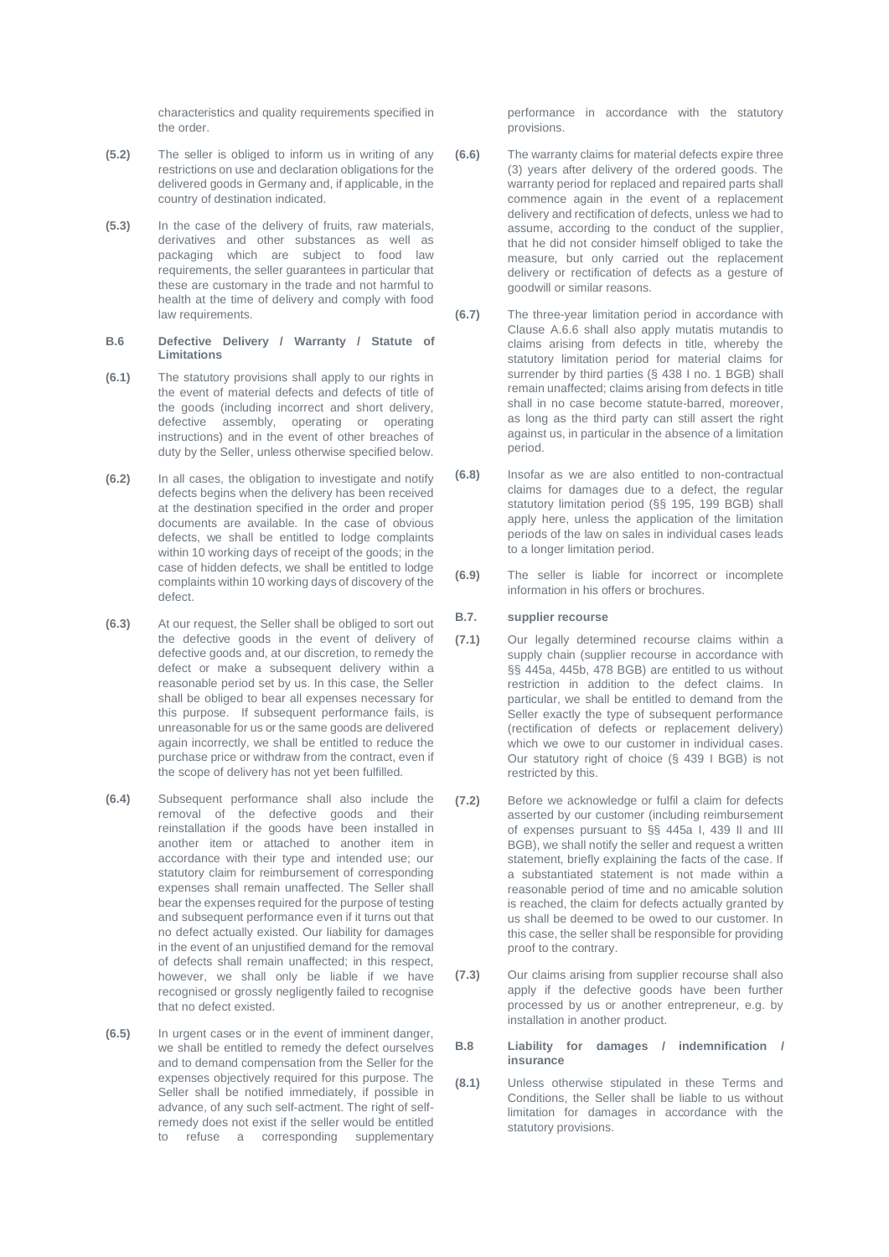characteristics and quality requirements specified in the order.

- **(5.2)** The seller is obliged to inform us in writing of any restrictions on use and declaration obligations for the delivered goods in Germany and, if applicable, in the country of destination indicated.
- **(5.3)** In the case of the delivery of fruits, raw materials, derivatives and other substances as well as packaging which are subject to food law requirements, the seller guarantees in particular that these are customary in the trade and not harmful to health at the time of delivery and comply with food law requirements.
- **B.6 Defective Delivery / Warranty / Statute of Limitations**
- **(6.1)** The statutory provisions shall apply to our rights in the event of material defects and defects of title of the goods (including incorrect and short delivery, defective assembly, operating or operating instructions) and in the event of other breaches of duty by the Seller, unless otherwise specified below.
- **(6.2)** In all cases, the obligation to investigate and notify defects begins when the delivery has been received at the destination specified in the order and proper documents are available. In the case of obvious defects, we shall be entitled to lodge complaints within 10 working days of receipt of the goods; in the case of hidden defects, we shall be entitled to lodge complaints within 10 working days of discovery of the defect.
- **(6.3)** At our request, the Seller shall be obliged to sort out the defective goods in the event of delivery of defective goods and, at our discretion, to remedy the defect or make a subsequent delivery within a reasonable period set by us. In this case, the Seller shall be obliged to bear all expenses necessary for this purpose. If subsequent performance fails, is unreasonable for us or the same goods are delivered again incorrectly, we shall be entitled to reduce the purchase price or withdraw from the contract, even if the scope of delivery has not yet been fulfilled.
- **(6.4)** Subsequent performance shall also include the removal of the defective goods and their reinstallation if the goods have been installed in another item or attached to another item in accordance with their type and intended use; our statutory claim for reimbursement of corresponding expenses shall remain unaffected. The Seller shall bear the expenses required for the purpose of testing and subsequent performance even if it turns out that no defect actually existed. Our liability for damages in the event of an unjustified demand for the removal of defects shall remain unaffected; in this respect, however, we shall only be liable if we have recognised or grossly negligently failed to recognise that no defect existed.
- **(6.5)** In urgent cases or in the event of imminent danger, we shall be entitled to remedy the defect ourselves and to demand compensation from the Seller for the expenses objectively required for this purpose. The Seller shall be notified immediately, if possible in advance, of any such self-actment. The right of selfremedy does not exist if the seller would be entitled to refuse a corresponding supplementary

performance in accordance with the statutory provisions.

- **(6.6)** The warranty claims for material defects expire three (3) years after delivery of the ordered goods. The warranty period for replaced and repaired parts shall commence again in the event of a replacement delivery and rectification of defects, unless we had to assume, according to the conduct of the supplier, that he did not consider himself obliged to take the measure, but only carried out the replacement delivery or rectification of defects as a gesture of goodwill or similar reasons.
- **(6.7)** The three-year limitation period in accordance with Clause A.6.6 shall also apply mutatis mutandis to claims arising from defects in title, whereby the statutory limitation period for material claims for surrender by third parties (§ 438 I no. 1 BGB) shall remain unaffected; claims arising from defects in title shall in no case become statute-barred, moreover, as long as the third party can still assert the right against us, in particular in the absence of a limitation period.
- **(6.8)** Insofar as we are also entitled to non-contractual claims for damages due to a defect, the regular statutory limitation period (§§ 195, 199 BGB) shall apply here, unless the application of the limitation periods of the law on sales in individual cases leads to a longer limitation period.
- **(6.9)** The seller is liable for incorrect or incomplete information in his offers or brochures.

# **B.7. supplier recourse**

- **(7.1)** Our legally determined recourse claims within a supply chain (supplier recourse in accordance with §§ 445a, 445b, 478 BGB) are entitled to us without restriction in addition to the defect claims. In particular, we shall be entitled to demand from the Seller exactly the type of subsequent performance (rectification of defects or replacement delivery) which we owe to our customer in individual cases. Our statutory right of choice (§ 439 I BGB) is not restricted by this.
- **(7.2)** Before we acknowledge or fulfil a claim for defects asserted by our customer (including reimbursement of expenses pursuant to §§ 445a I, 439 II and III BGB), we shall notify the seller and request a written statement, briefly explaining the facts of the case. If a substantiated statement is not made within a reasonable period of time and no amicable solution is reached, the claim for defects actually granted by us shall be deemed to be owed to our customer. In this case, the seller shall be responsible for providing proof to the contrary.
- **(7.3)** Our claims arising from supplier recourse shall also apply if the defective goods have been further processed by us or another entrepreneur, e.g. by installation in another product.

#### **B.8 Liability for damages / indemnification / insurance**

**(8.1)** Unless otherwise stipulated in these Terms and Conditions, the Seller shall be liable to us without limitation for damages in accordance with the statutory provisions.